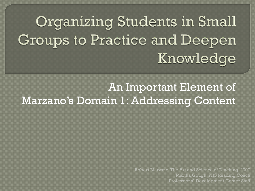# Organizing Students in Small Groups to Practice and Deepen Knowledge

An Important Element of Marzano's Domain 1: Addressing Content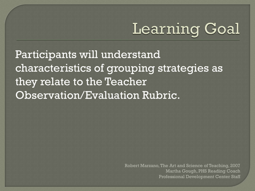# **Learning Goal**

Participants will understand characteristics of grouping strategies as they relate to the Teacher Observation/Evaluation Rubric.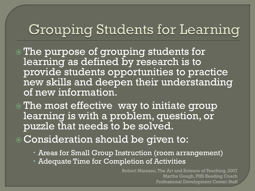#### Grouping Students for Learning

- The purpose of grouping students for learning as defined by research is to provide students opportunities to practice new skills and deepen their understanding of new information.
- The most effective way to initiate group learning is with a problem, question, or puzzle that needs to be solved.
- Consideration should be given to:
	- Areas for Small Group Instruction (room arrangement)
	- Adequate Time for Completion of Activities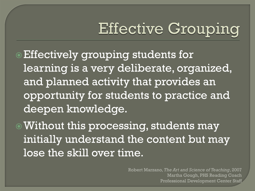## **Effective Grouping**

- Effectively grouping students for learning is a very deliberate, organized, and planned activity that provides an opportunity for students to practice and deepen knowledge.
- Without this processing, students may initially understand the content but may lose the skill over time.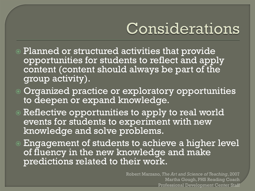## Considerations

- Planned or structured activities that provide opportunities for students to reflect and apply content (content should always be part of the group activity).
- Organized practice or exploratory opportunities to deepen or expand knowledge.
- **Reflective opportunities to apply to real world** events for students to experiment with new knowledge and solve problems.
- Engagement of students to achieve a higher level of fluency in the new knowledge and make predictions related to their work.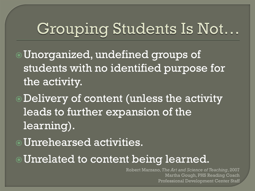### Grouping Students Is Not...

- Unorganized, undefined groups of students with no identified purpose for the activity.
- Delivery of content (unless the activity leads to further expansion of the learning).
- Unrehearsed activities.
- Unrelated to content being learned.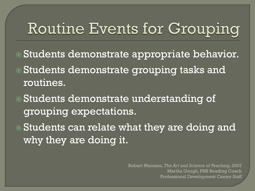## **Routine Events for Grouping**

- Students demonstrate appropriate behavior.
- Students demonstrate grouping tasks and routines.
- Students demonstrate understanding of grouping expectations.
- Students can relate what they are doing and why they are doing it.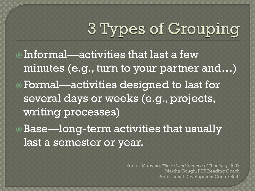# 3 Types of Grouping

- Informal—activities that last a few minutes (e.g., turn to your partner and…) Formal—activities designed to last for several days or weeks (e.g., projects, writing processes)
- Base—long-term activities that usually last a semester or year.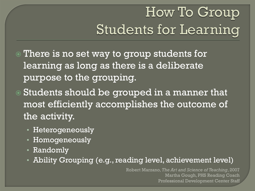### How To Group **Students for Learning**

- There is no set way to group students for learning as long as there is a deliberate purpose to the grouping.
- Students should be grouped in a manner that most efficiently accomplishes the outcome of the activity.
	- Heterogeneously
	- Homogeneously
	- Randomly
	- Ability Grouping (e.g., reading level, achievement level)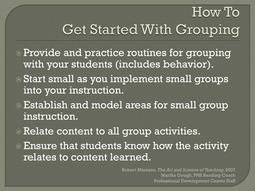# **Get Started With Grouping**

How To

- Provide and practice routines for grouping with your students (includes behavior).
- Start small as you implement small groups into your instruction.
- Establish and model areas for small group instruction.
- Relate content to all group activities.
- Ensure that students know how the activity relates to content learned.